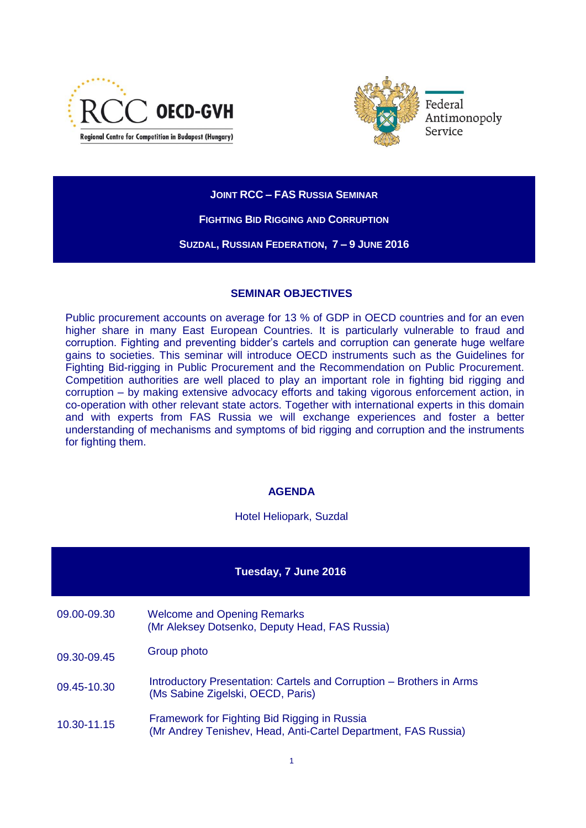



**JOINT RCC – FAS RUSSIA SEMINAR**

**FIGHTING BID RIGGING AND CORRUPTION**

**SUZDAL, RUSSIAN FEDERATION, 7 – 9 JUNE 2016**

## **SEMINAR OBJECTIVES**

Public procurement accounts on average for 13 % of GDP in OECD countries and for an even higher share in many East European Countries. It is particularly vulnerable to fraud and corruption. Fighting and preventing bidder's cartels and corruption can generate huge welfare gains to societies. This seminar will introduce OECD instruments such as the Guidelines for Fighting Bid-rigging in Public Procurement and the Recommendation on Public Procurement. Competition authorities are well placed to play an important role in fighting bid rigging and corruption – by making extensive advocacy efforts and taking vigorous enforcement action, in co-operation with other relevant state actors. Together with international experts in this domain and with experts from FAS Russia we will exchange experiences and foster a better understanding of mechanisms and symptoms of bid rigging and corruption and the instruments for fighting them.

## **AGENDA**

Hotel Heliopark, Suzdal

## **Tuesday, 7 June 2016**

- 09.00-09.30 Welcome and Opening Remarks (Mr Aleksey Dotsenko, Deputy Head, FAS Russia)
- 09.30-09.45 Group photo
- 09.45-10.30 Introductory Presentation: Cartels and Corruption Brothers in Arms (Ms Sabine Zigelski, OECD, Paris)
- 10.30-11.15 Framework for Fighting Bid Rigging in Russia (Mr Andrey Tenishev, Head, Anti-Cartel Department, FAS Russia)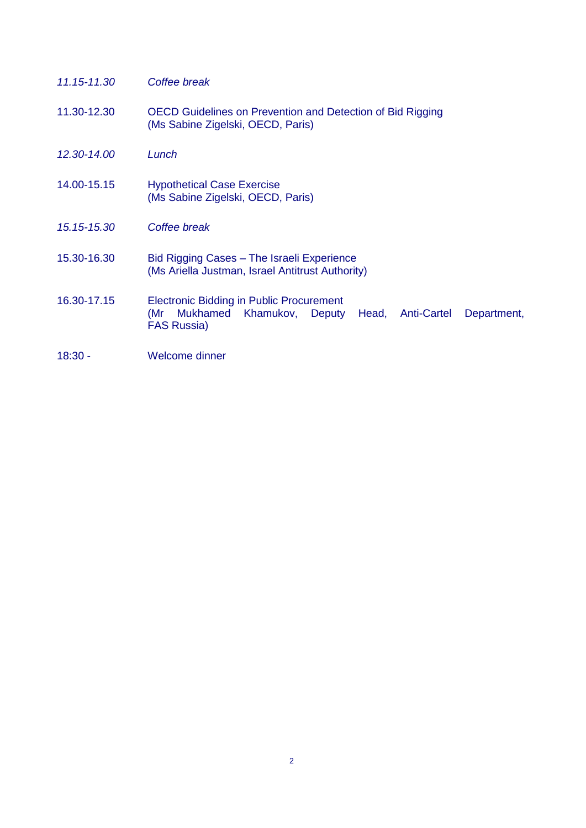| 11.15-11.30 | Coffee break                                                                                                                                                  |
|-------------|---------------------------------------------------------------------------------------------------------------------------------------------------------------|
| 11.30-12.30 | <b>OECD Guidelines on Prevention and Detection of Bid Rigging</b><br>(Ms Sabine Zigelski, OECD, Paris)                                                        |
| 12.30-14.00 | Lunch                                                                                                                                                         |
| 14.00-15.15 | <b>Hypothetical Case Exercise</b><br>(Ms Sabine Zigelski, OECD, Paris)                                                                                        |
| 15.15-15.30 | Coffee break                                                                                                                                                  |
| 15.30-16.30 | Bid Rigging Cases – The Israeli Experience<br>(Ms Ariella Justman, Israel Antitrust Authority)                                                                |
| 16.30-17.15 | <b>Electronic Bidding in Public Procurement</b><br>Mukhamed<br>Khamukov,<br>Deputy<br><b>Anti-Cartel</b><br>(Mr<br>Head,<br>Department,<br><b>FAS Russia)</b> |
| $18:30 -$   | Welcome dinner                                                                                                                                                |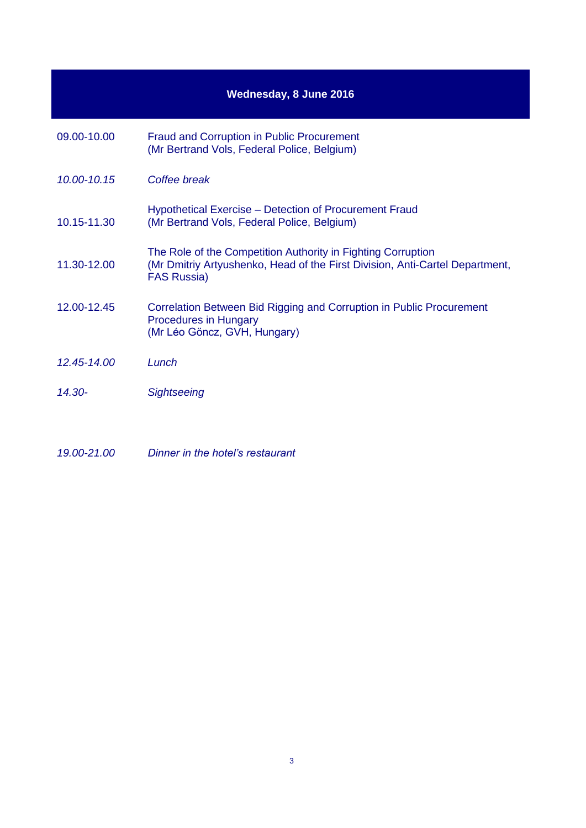| <b>Wednesday, 8 June 2016</b> |                                                                                                                                                                    |  |
|-------------------------------|--------------------------------------------------------------------------------------------------------------------------------------------------------------------|--|
| 09.00-10.00                   | <b>Fraud and Corruption in Public Procurement</b><br>(Mr Bertrand Vols, Federal Police, Belgium)                                                                   |  |
| 10.00-10.15                   | Coffee break                                                                                                                                                       |  |
| 10.15-11.30                   | Hypothetical Exercise – Detection of Procurement Fraud<br>(Mr Bertrand Vols, Federal Police, Belgium)                                                              |  |
| 11.30-12.00                   | The Role of the Competition Authority in Fighting Corruption<br>(Mr Dmitriy Artyushenko, Head of the First Division, Anti-Cartel Department,<br><b>FAS Russia)</b> |  |
| 12.00-12.45                   | Correlation Between Bid Rigging and Corruption in Public Procurement<br><b>Procedures in Hungary</b><br>(Mr Léo Göncz, GVH, Hungary)                               |  |
| 12.45-14.00                   | Lunch                                                                                                                                                              |  |
| 14.30-                        | Sightseeing                                                                                                                                                        |  |
|                               |                                                                                                                                                                    |  |

*19.00-21.00 Dinner in the hotel's restaurant*